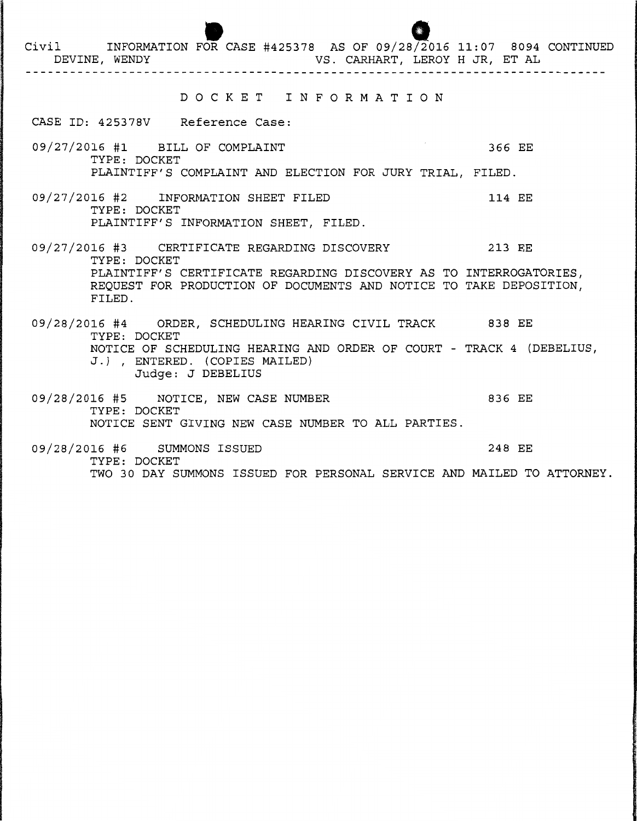OR CASE #425378 AS OF 09/28/2016 11:07 8094 CONTINUED VS. CARHART, LEROY H JR, ET AL Civil INFORMATION FOR DEVINE, WENDY VS. CARHART, LEROY H JR, ET AL D 0 C K E T I N F 0 R M A T I 0 N CASE ID: 425378V Reference Case: 09/27/2016 #1 BILL OF COMPLAINT 366 EE TYPE: DOCKET PLAINTIFF'S COMPLAINT AND ELECTION FOR JURY TRIAL, FILED. 09/27/2016 #2 INFORMATION SHEET FILED 114 EE TYPE: DOCKET PLAINTIFF'S INFORMATION SHEET, FILED. 09/27/2016 #3 CERTIFICATE REGARDING DISCOVERY 213 EE TYPE: DOCKET PLAINTIFF'S CERTIFICATE REGARDING DISCOVERY AS TO INTERROGATORIES, REQUEST FOR PRODUCTION OF DOCUMENTS AND NOTICE TO TAKE DEPOSITION, FILED. 09/28/2016 #4 ORDER, SCHEDULING HEARING CIVIL TRACK 838 EE TYPE: DOCKET NOTICE OF SCHEDULING HEARING AND ORDER OF COURT - TRACK 4 (DEBELIUS, J.), ENTERED. (COPIES MAILED) Judge: J DEBELIUS 09/28/2016 #5 NOTICE, NEW CASE NUMBER 836 EE TYPE: DOCKET NOTICE SENT GIVING NEW CASE NUMBER TO ALL PARTIES. 09/28/2016 #6 SUMMONS ISSUED 248 EE

TWO 30 DAY SUMMONS ISSUED FOR PERSONAL SERVICE AND MAILED TO ATTORNEY.

TYPE: DOCKET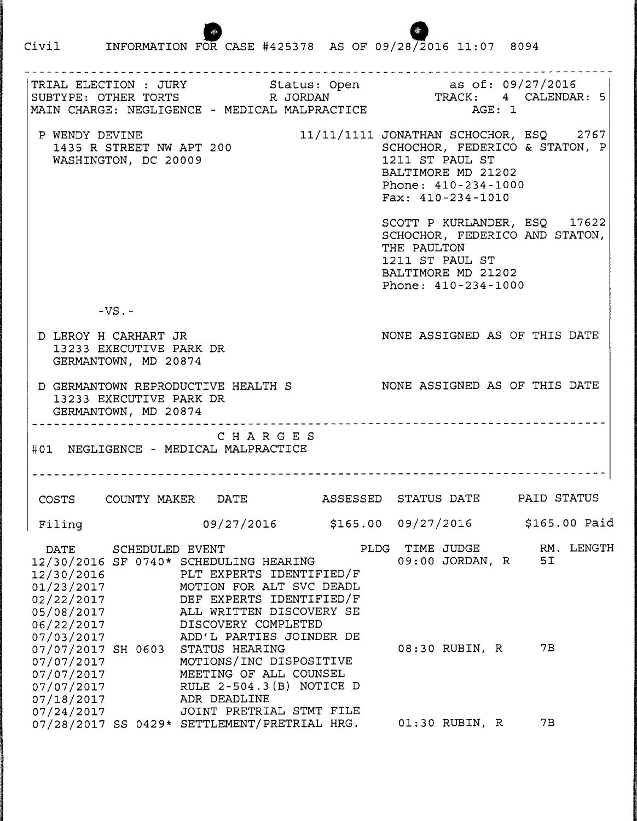Civil 1NFORMATION FOR CASE #425378 AS OF 09/28/2016 11:07 8094

TRIAL ELECTION : JURY Status: Open as of: 09/27/2016 TRACK: 4 CALENDAR: 5 SUBTYPE: OTHER TORTS R JORDAN MAIN CHARGE: NEGLIGENCE - MEDICAL MALPRACTICE AGE: 1 P WENDY DEVINE 11/11/1111 JONATHAN SCHOCHOR, ESQ 2767 1435 R STREET NW APT 200 SCHOCHOR, FEDERICO & STATON, P 1211 ST PAUL ST WASHINGTON, DC 20009 BALTIMORE MD 21202 Phone: 410-234-1000 Fax: 410-234-1010 SCOTT P KURLANDER, ESQ 17622 SCHOCHOR, FEDERICO AND STATON, THE PAULTON 1211 ST PAUL ST BALTIMORE MD 21202 Phone: 410-234-1000  $-VS$ . -D LEROY H CARHART JR NONE ASSIGNED AS OF THIS DATE 13233 EXECUTIVE PARK DR GERMANTOWN, MD 20874 D GERMANTOWN REPRODUCTIVE HEALTH S NONE ASSIGNED AS OF THIS DATE 13233 EXECUTIVE PARK DR GERMANTOWN, MD 20874 C H A R G E S #01 NEGLIGENCE - MEDICAL MALPRACTICE COSTS COUNTY MAKER DATE ASSESSED STATUS DATE PAID STATUS Filing 09/27/2016 \$165.00 09/27/2016 \$165.00 Paid DATE SCHEDULED EVENT FILDG TIME JUDGE RM. LENGTH<br>2/30/2016 SF 0740\* SCHEDULING HEARING 09:00 JORDAN, R5I 12/30/2016 SF 0740\* SCHEDULING HEARING 12/30/2016 PLT EXPERTS IDENTIFIED/F 01/23/2017 MOTION FOR ALT SVC DEADL 02/22/2017 DEF EXPERTS IDENTIFIED/F 05/08/2017 ALL WRITTEN DISCOVERY SE 06/22/2017 DISCOVERY COMPLETED 07/03/2017 ADD'L PARTIES JOINDER DE 07/07/2017 SH 0603 STATUS HEARING 08:30 RUBIN, R 7B 07/07/2017 MOTIONS/INC DISPOSITIVE 07/07/2017 MEETING OF ALL COUNSEL  $07/07/2017$  RULE 2-504.3(B) NOTICE D 07/18/2017 ADR DEADLINE 07/24/2017 JOINT PRETRIAL STMT FILE 07/28/2017 SS 0429\* SETTLEMENT/PRETRIAL HRG. 01:30 RUBIN, R 7B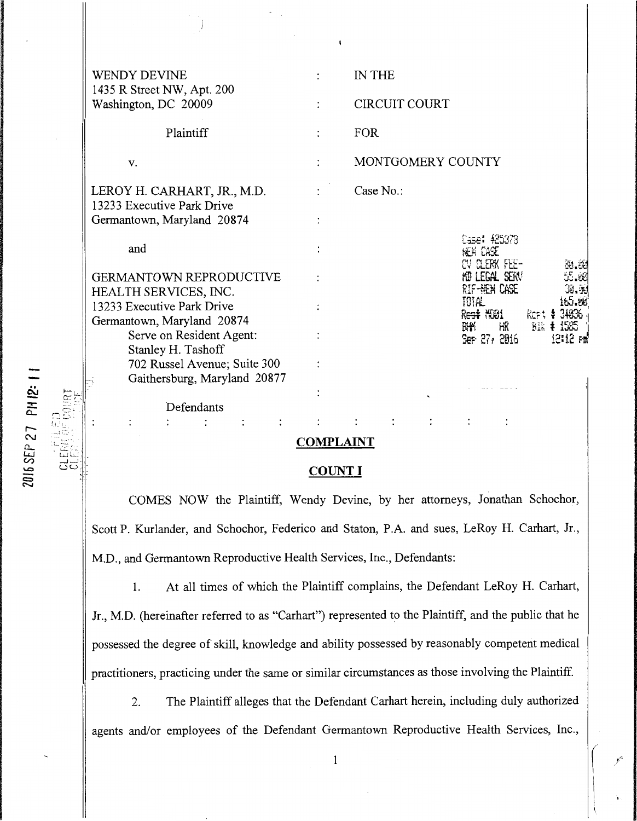| WENDY DEVINE                                                 |                      | IN THE                                             |
|--------------------------------------------------------------|----------------------|----------------------------------------------------|
| 1435 R Street NW, Apt. 200<br>Washington, DC 20009           |                      | <b>CIRCUIT COURT</b>                               |
| Plaintiff                                                    | $\ddot{\phantom{a}}$ | <b>FOR</b>                                         |
| V.                                                           |                      | MONTGOMERY COUNTY                                  |
| LEROY H. CARHART, JR., M.D.                                  |                      | Case No.:                                          |
| 13233 Executive Park Drive<br>Germantown, Maryland 20874     |                      |                                                    |
| and                                                          |                      | Case: 425378<br>hen Case                           |
| <b>GERMANTOWN REPRODUCTIVE</b><br>HEALTH SERVICES, INC.      |                      | CV CLERK FEE-<br>HD LEGAL SERV<br>RIF-HEM CASE     |
| 13233 Executive Park Drive<br>Germantown, Maryland 20874     |                      | IOIAL.<br>Rest NO1<br>Reft t                       |
| Serve on Resident Agent:<br>Stanley H. Tashoff               |                      | $B1k$ $\ddagger$<br>蹯 歌<br>Ser 27/2016<br>12:12 F# |
| 702 Russel Avenue; Suite 300<br>Gaithersburg, Maryland 20877 |                      |                                                    |
| Defendants                                                   |                      |                                                    |
|                                                              |                      |                                                    |

## **COMPLAINT**

## **COUNT I**

COMES NOW the Plaintiff, Wendy Devine, by her attorneys, Jonathan Schochor, Scott P. Kurlander, and Schochor, Federico and Staton, P.A. and sues, LeRoy H. Carhart, Jr., M.D., and Germantown Reproductive Health Services, Inc., Defendants:

I. At all times of which the Plaintiff complains, the Defendant LeRoy H. Carhart, Jr., M.D. (hereinafter referred to as "Carhart") represented to the Plaintiff, and the public that he possessed the degree of skill, knowledge and ability possessed by reasonably competent medical practitioners, practicing under the same or similar circumstances as those involving the Plaintiff.

2. The Plaintiff alleges that the Defendant Carhart herein, including duly authorized agents and/or employees of the Defendant Germantown Reproductive Health Services, Inc.,

2016 SEP 27 PH 12: 1

rei<br>U  $1.1\%$ *-': ..* .

**CLER**<br>CLER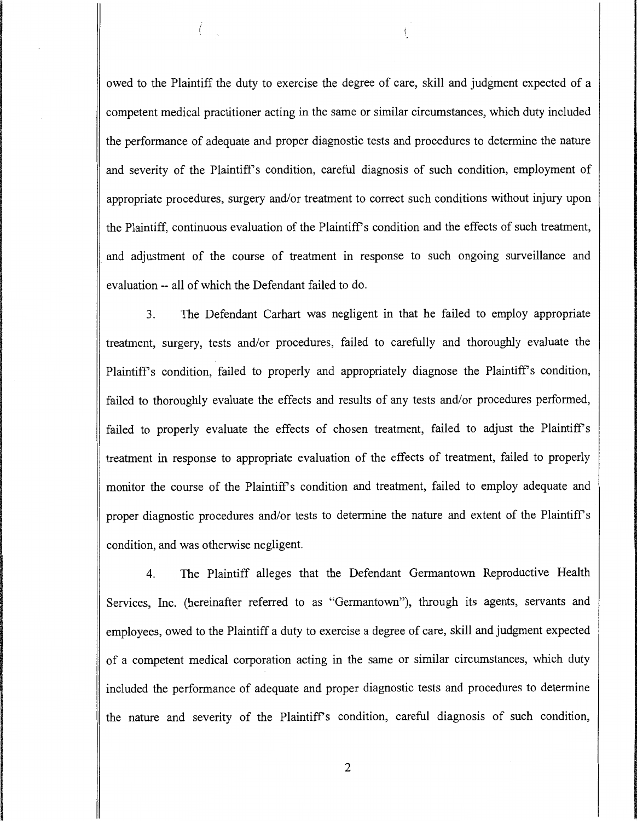owed to the Plaintiff the duty to exercise the degree of care, skill and judgment expected of a competent medical practitioner acting in the same or similar circumstances, which duty included the performance of adequate and proper diagnostic tests and procedures to determine the nature and severity of the Plaintiff's condition, careful diagnosis of such condition, employment of appropriate procedures, surgery and/or treatment to correct such conditions without injury upon the Plaintiff, continuous evaluation of the Plaintiff's condition and the effects of such treatment, . and adjustment of the course of treatment in response to such ongoing surveillance and evaluation -- all of which the Defendant failed to do.

3. The Defendant Carhart was negligent in that he failed to employ appropriate treatment, surgery, tests and/or procedures, failed to carefully and thoroughly evaluate the Plaintiff's condition, failed to properly and appropriately diagnose the Plaintiff's condition, failed to thoroughly evaluate the effects and results of any tests and/or procedures performed, failed to properly evaluate the effects of chosen treatment, failed to adjust the Plaintiff's treatment in response to appropriate evaluation of the effects of treatment, failed to properly monitor the course of the Plaintiff's condition and treatment, failed to employ adequate and proper diagnostic procedures and/or tests to determine the nature and extent of the Plaintiff's condition, and was otherwise negligent.

4. The Plaintiff alleges that the Defendant Germantown Reproductive Health Services, Inc. (hereinafter referred to as "Germantown"), through its agents, servants and employees, owed to the Plaintiff a duty to exercise a degree of care, skill and judgment expected of a competent medical corporation acting in the same or similar circumstances, which duty included the performance of adequate and proper diagnostic tests and procedures to determine the nature and severity of the Plaintiff's condition, careful diagnosis of such condition,

2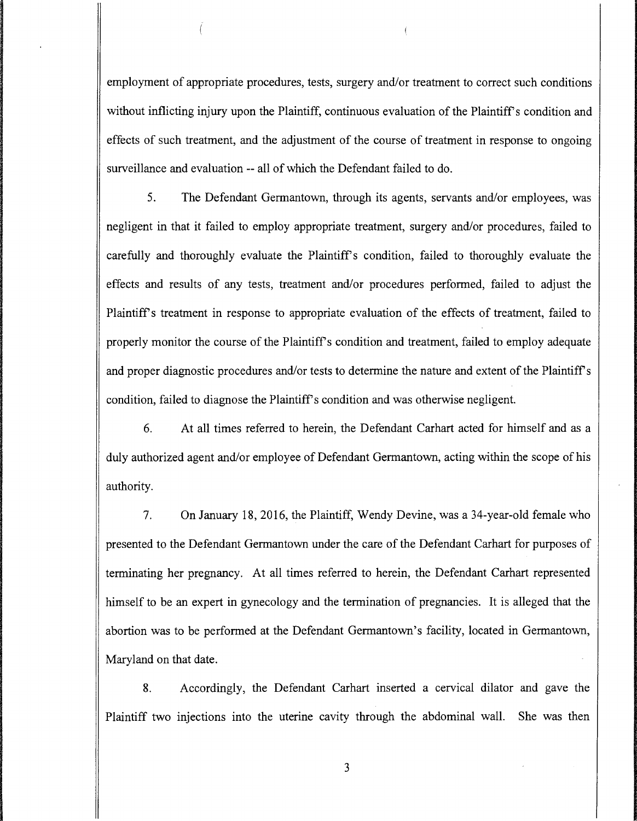employment of appropriate procedures, tests, surgery and/or treatment to correct such conditions without inflicting injury upon the Plaintiff, continuous evaluation of the Plaintiff's condition and effects of such treatment, and the adjustment of the course of treatment in response to ongoing surveillance and evaluation -- all of which the Defendant failed to do.

5. The Defendant Germantown, through its agents, servants and/or employees, was negligent in that it failed to employ appropriate treatment, surgery and/or procedures, failed to carefully and thoroughly evaluate the Plaintiff's condition, failed to thoroughly evaluate the effects and results of any tests, treatment and/or procedures performed, failed to adjust the Plaintiffs treatment in response to appropriate evaluation of the effects of treatment, failed to properly monitor the course of the Plaintiff's condition and treatment, failed to employ adequate and proper diagnostic procedures and/or tests to determine the nature and extent of the Plaintiff's condition, failed to diagnose the Plaintiff's condition and was otherwise negligent.

6. At all times referred to herein, the Defendant Carhart acted for himself and as a duly authorized agent and/or employee of Defendant Germantown, acting within the scope of his authority.

7. On January 18, 2016, the Plaintiff, Wendy Devine, was a 34-year-old female who presented to the Defendant Germantown under the care of the Defendant Carhart for purposes of terminating her pregnancy. At all times referred to herein, the Defendant Carhart represented himself to be an expert in gynecology and the termination of pregnancies. It is alleged that the abortion was to be performed at the Defendant Germantown's facility, located in Germantown, Maryland on that date.

8. Accordingly, the Defendant Carhart inserted a cervical dilator and gave the Plaintiff two injections into the uterine cavity through the abdominal wall. She was then

3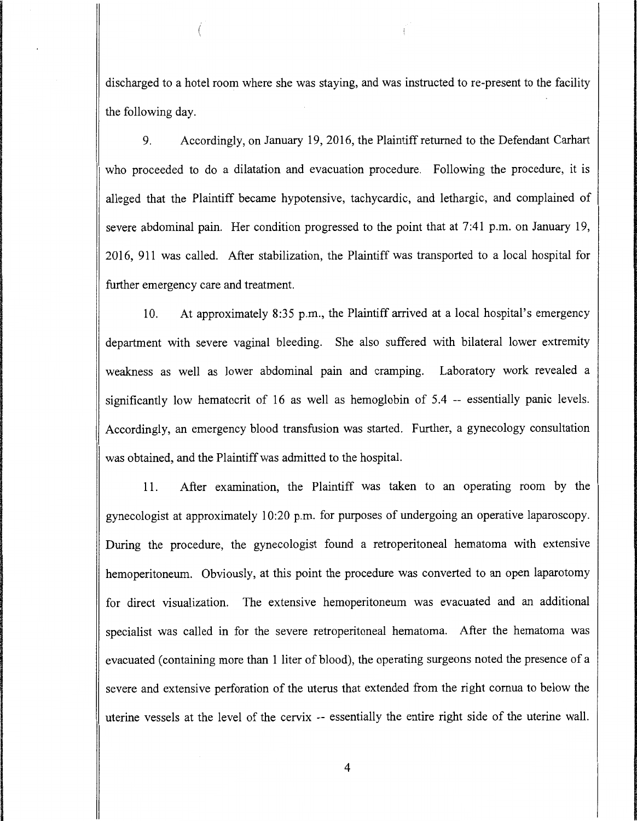discharged to a hotel room where she was staying, and was instructed to re-present to the facility the following day.

9. Accordingly, on January 19, 2016, the Plaintiff returned to the Defendant Carhart who proceeded to do a dilatation and evacuation procedure. Following the procedure, it is alleged that the Plaintiff became hypotensive, tachycardic, and lethargic, and complained of severe abdominal pain. Her condition progressed to the point that at 7:41 p.m. on January 19, 2016, 911 was called. After stabilization, the Plaintiff was transported to a local hospital for further emergency care and treatment.

10. At approximately 8:35 p.m., the Plaintiff arrived at a local hospital's emergency department with severe vaginal bleeding. She also suffered with bilateral lower extremity weakness as well as lower abdominal pain and cramping. Laboratory work revealed a significantly low hematocrit of 16 as well as hemoglobin of 5.4 -- essentially panic levels. Accordingly, an emergency blood transfusion was started. Further, a gynecology consultation was obtained, and the Plaintiff was admitted to the hospital.

11. After examination, the Plaintiff was taken to an operating room by the gynecologist at approximately 10:20 p.m. for purposes of undergoing an operative laparoscopy. During the procedure, the gynecologist found a retroperitoneal hematoma with extensive hemoperitoneum. Obviously, at this point the procedure was converted to an open laparotomy for direct visualization. The extensive hemoperitoneum was evacuated and an additional specialist was called in for the severe retroperitoneal hematoma. After the hematoma was evacuated (containing more than 1 liter of blood), the operating surgeons noted the presence of a severe and extensive perforation of the uterus that extended from the right comua to below the uterine vessels at the level of the cervix -- essentially the entire right side of the uterine wall.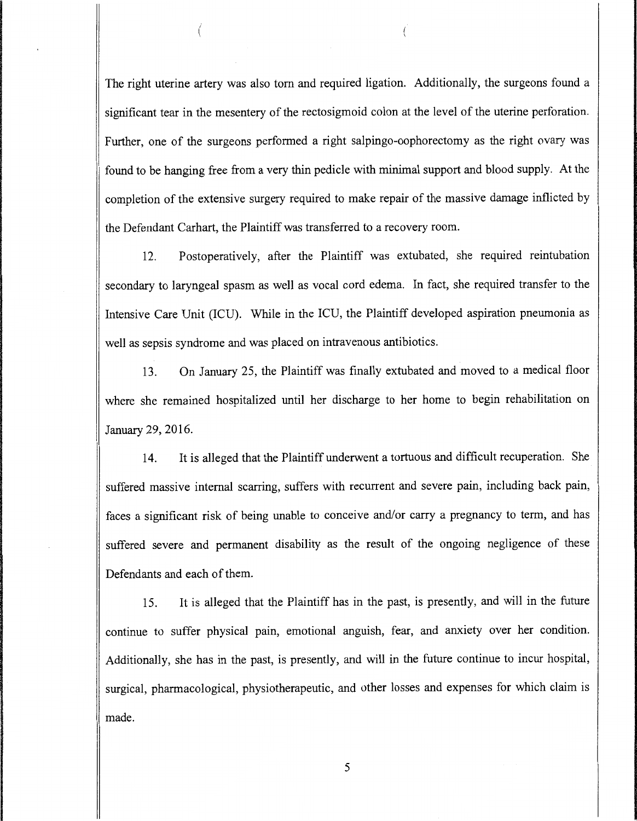The right uterine artery was also tom and required ligation. Additionally, the surgeons found a significant tear in the mesentery of the rectosigmoid colon at the level of the uterine perforation. Further, one of the surgeons performed a right salpingo-oophorectomy as the right ovary was found to be hanging free from a very thin pedicle with minimal support and blood supply. At the completion of the extensive surgery required to make repair of the massive damage inflicted by the Defendant Carhart, the Plaintiff was transferred to a recovery room.

(

12. Postoperatively, after the Plaintiff was extubated, she required reintubation secondary to laryngeal spasm as well as vocal cord edema. In fact, she required transfer to the Intensive Care Unit (ICU). While in the ICU, the Plaintiff developed aspiration pneumonia as well as sepsis syndrome and was placed on intravenous antibiotics.

13. On January 25, the Plaintiff was finally extubated and moved to a medical floor where she remained hospitalized until her discharge to her home to begin rehabilitation on January 29, 2016.

14. It is alleged that the Plaintiff underwent a tortuous and difficult recuperation. She suffered massive internal scarring, suffers with recurrent and severe pain, including back pain, faces a significant risk of being unable to conceive and/or carry a pregnancy to term, and has suffered severe and permanent disability as the result of the ongoing negligence of these Defendants and each of them.

15. It is alleged that the Plaintiff has in the past, is presently, and will in the future continue to suffer physical pain, emotional anguish, fear, and anxiety over her condition. Additionally, she has in the past, is presently, and will in the future continue to incur hospital, surgical, pharmacological, physiotherapeutic, and other losses and expenses for which claim is made.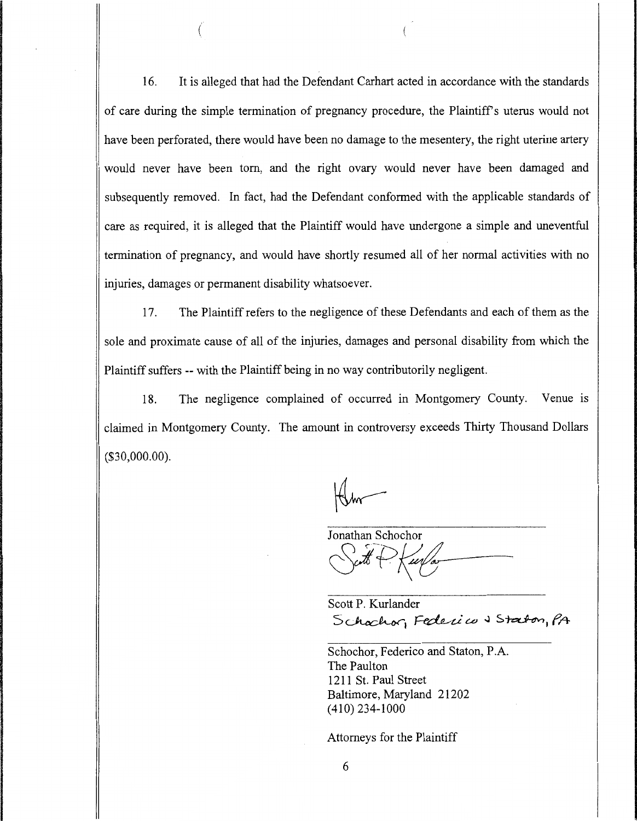16. It is alleged that had the Defendant Carhart acted in accordance with the standards of care during the simple termination of pregnancy procedure, the Plaintiff's uterus would not have been perforated, there would have been no damage to the mesentery, the right uterine artery would never have been tom, and the right ovary would never have been damaged and subsequently removed. In fact, had the Defendant conformed with the applicable standards of care as required, it is alleged that the Plaintiff would have undergone a simple and uneventful termination of pregnancy, and would have shortly resumed all of her normal activities with no injuries, damages or permanent disability whatsoever.

(

17. The Plaintiff refers to the negligence of these Defendants and each of them as the sole and proximate cause of all of the injuries, damages and personal disability from which the Plaintiff suffers -- with the Plaintiff being in no way contributorily negligent.

18. The negligence complained of occurred in Montgomery County. Venue is claimed in Montgomery County. The amount in controversy exceeds Thirty Thousand Dollars (\$30,000.00).

Jonathan Schochor Sutt + Kurla-

Scott P. Kurlander Schochor, Federico & Staton, PA

Schochor, Federico and Staton, P.A. The Paulton 1211 St. Paul Street Baltimore, Maryland 21202 (410) 234-1000

Attorneys for the Plaintiff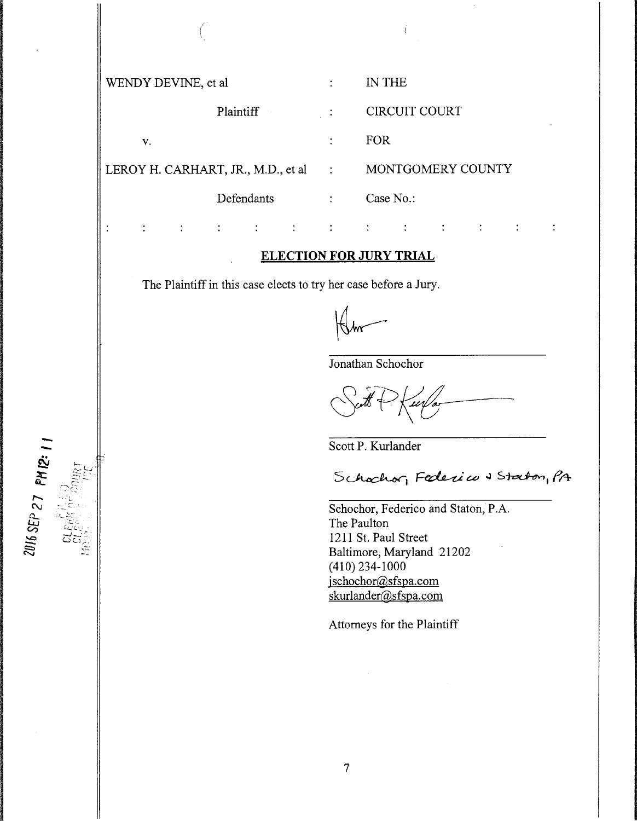WENDY DEVINE, et al  $\cdot$  IN THE Plaintiff : CIRCUIT COURT v. FOR LEROY H. CARHART, JR., M.D., et al  $\qquad \qquad$ : MONTGOMERY COUNTY Defendants : Case No.:

#### **ELECTION FOR JURY TRIAL**

The Plaintiff in this case elects to try her case before a Jury.

 $\mathcal{L}^{\text{max}}$ 

 $\big($ 

Jonathan Schochor

 $\overline{\mathfrak{c}}$ 

 $\mathbf{1} \qquad \qquad \mathbf{1} \qquad \qquad \mathbf{1} \qquad \qquad \mathbf{1} \qquad \qquad \mathbf{1} \qquad \qquad \mathbf{1} \qquad \qquad \mathbf{1} \qquad \qquad \mathbf{1} \qquad \qquad \mathbf{1} \qquad \qquad \mathbf{1} \qquad \qquad \mathbf{1} \qquad \qquad \mathbf{1} \qquad \qquad \mathbf{1} \qquad \qquad \mathbf{1} \qquad \qquad \mathbf{1} \qquad \qquad \mathbf{1} \qquad \qquad \mathbf{1} \qquad \qquad \mathbf{1} \qquad \qquad \mathbf{$ 

 $\sim 1$ 

Scott P. Kurlander

Schochor, Federico & Staton, PA

Schochor, Federico and Staton, P.A. The Paulton 1211 St. Paul Street Baltimore, Maryland 21202 ( 410) 234-1000 jschochor@sfspa.com skurlander@sfspa.com

Attorneys for the Plaintiff

 $\ddot{\cdot}$ 

 $\ddot{\cdot}$ 

 $\mathcal{L}^{\pm}$ 

 $\mathcal{L}^{\text{max}}$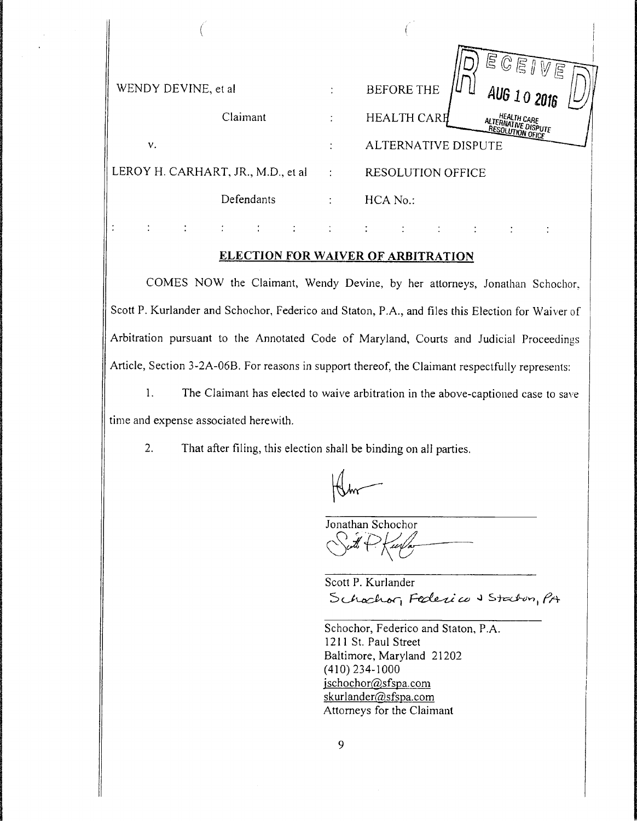|                                     |   | $E$ $E$ $E$ $W$                                                              |
|-------------------------------------|---|------------------------------------------------------------------------------|
| WENDY DEVINE, et al.                | ٠ | <b>BEFORE THE</b><br>AUG 10 2016                                             |
| Claimant                            |   | <b>HEALTH CARE</b><br>HEALTH CARE<br>ALTERNATIVE DISPUTE<br>RESOLUTION OFICE |
| v.                                  |   | ALTERNATIVE DISPUTE                                                          |
| LEROY H. CARHART, JR., M.D., et al. | ÷ | <b>RESOLUTION OFFICE</b>                                                     |
| Defendants                          |   | HCA No.:                                                                     |
|                                     |   |                                                                              |

#### **ELECTION FOR WAIVER OF ARBITRATION**

COMES NOW the Claimant, Wendy Devine, by her attorneys, Jonathan Schocbor, Scott P. Kurlander and Schochor, Federico and Staton, P.A., and files this Election for Waiver of Arbitration pursuant to the Annotated Code of Maryland, Courts and Judicial Proceedings Article, Section 3-2A-06B. For reasons in support thereof, the Claimant respectfully represents:

1. The Claimant has elected to waive arbitration in the above-captioned case to save time and expense associated herewith.

2. That after filing, this election shall be binding on all parties.

Jonathan Schochor Sut P Kurla-

Scott P. Kurlander Schochor, Federico & Starton, PA

Schochor, Federico and Staton, P.A. 1211 St. Paul Street Baltimore, Maryland 21202 (410) 234-1000 jschochor(@,sfspa.com skurlander@sfspa.com Attorneys for the Claimant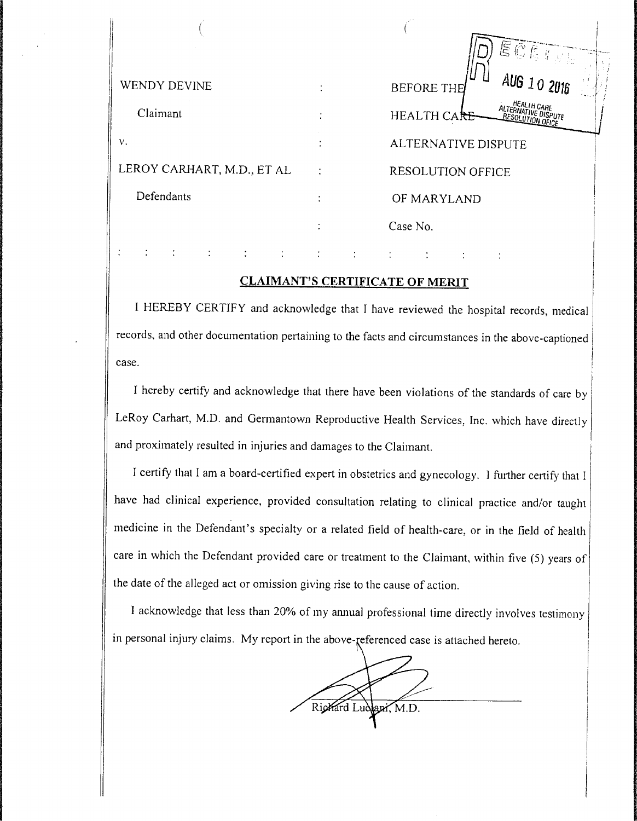| WENDY DEVINE               | $\mathcal{L} \Subset \mathbb{C}$ is if $\mathcal{L}$<br>AUG 10 2016<br><b>BEFORE THE</b> |  |  |
|----------------------------|------------------------------------------------------------------------------------------|--|--|
| Claimant                   | HEALTH CARE<br>ALTERNATIVE DISPUTE<br>RESOLUTION OFICE<br>HEALTH CARE                    |  |  |
| v.                         | ALTERNATIVE DISPUTE                                                                      |  |  |
| LEROY CARHART, M.D., ET AL | <b>RESOLUTION OFFICE</b>                                                                 |  |  |
| Defendants                 | OF MARYLAND                                                                              |  |  |
|                            | Case No.                                                                                 |  |  |
|                            |                                                                                          |  |  |

#### **CLAIMANT'S CERTIFICATE OF MERIT**

I HEREBY CERTIFY and acknowledge that I have reviewed the hospital records, medical records, and other documentation pertaining to the facts and circumstances in the above-captioned case.

I hereby certify and acknowledge that there have been violations of the standards of care by LeRoy Carhart, M.D. and Germantown Reproductive Health Services, Inc. which have directly and proximately resulted in injuries and damages to the Claimant.

I certify that I am a board-certified expert in obstetrics and gynecology. I further certify that I have had clinical experience, provided consultation relating to clinical practice and/or taught medicine in the Defendant's specialty or a related field of health-care, or in the field of health care in which the Defendant provided care or treatment to the Claimant, within five (5) years of the date of the alleged act or omission giving rise to the cause of action.

I acknowledge that less than 20% of my annual professional time directly involves testimony in personal injury claims. My report in the above-geferenced case is attached hereto.

Richard Ludlapi, M.D.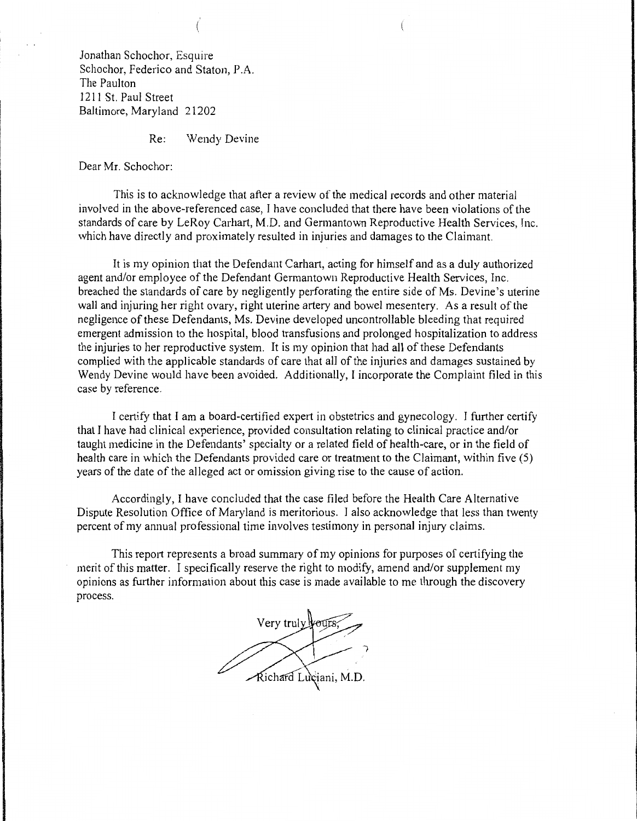Jonathan Schochor, Esquire Schochor, Federico and Staton, P.A. The Paulton 1211 St. Paul Street Baltimore, Maryland 21202

Re: Wendy Devine

Dear Mr. Schochor:

This is to acknowledge that after a review of the medical records and other material involved in the above-referenced case, I have concluded that there have been violations of the standards of care by LeRoy Carhart, M.D. and Germantown Reproductive Health Services, Inc. which have directly and proximately resulted in injuries and damages to the Claimant.

It is my opinion that the Defendant Carhart, acting for himself and as a duly authorized agent and/or employee of the Defendant Germantown Reproductive Health Services, Inc. breached the standards of care by negligently perforating the entire side of Ms. Devine's uterine wall and injuring her right ovary, right uterine artery and bowel mesentery. As a result of the negligence of these Defendants, Ms. Devine developed uncontrollable bleeding that required emergent admission to the hospital, blood transfusions and prolonged hospitalization to address the injuries to her reproductive system. It is my opinion that had all of these Defendants complied with the applicable standards of care that all of the injuries and damages sustained by Wendy Devine would have been avoided. Additionally, I incorporate the Complaint filed in this case by reference.

I certify that I am a board-certified expert in obstetrics and gynecology. I further certify that I have had clinical experience, provided consultation relating to clinical practice and/or taught medicine in the Defendants' specialty or a related field of health-care, or in the field of health care in which the Defendants provided care or treatment to the Claimant, within five (5) years of the date of the alleged act or omission giving rise to the cause of action.

Accordingly, I have concluded that the case filed before the Health Care Alternative Dispute Resolution Office of Maryland is meritorious. I also acknowledge that less than twenty percent of my annual professional time involves testimony in personal injury claims.

This report represents a broad summary of my opinions for purposes of certifying the merit of this matter. I specifically reserve the right to modify, amend and/or supplement my opinions as further information about this case is made available to me through the discovery process.

Very truly yours Richard Luciani, M.D.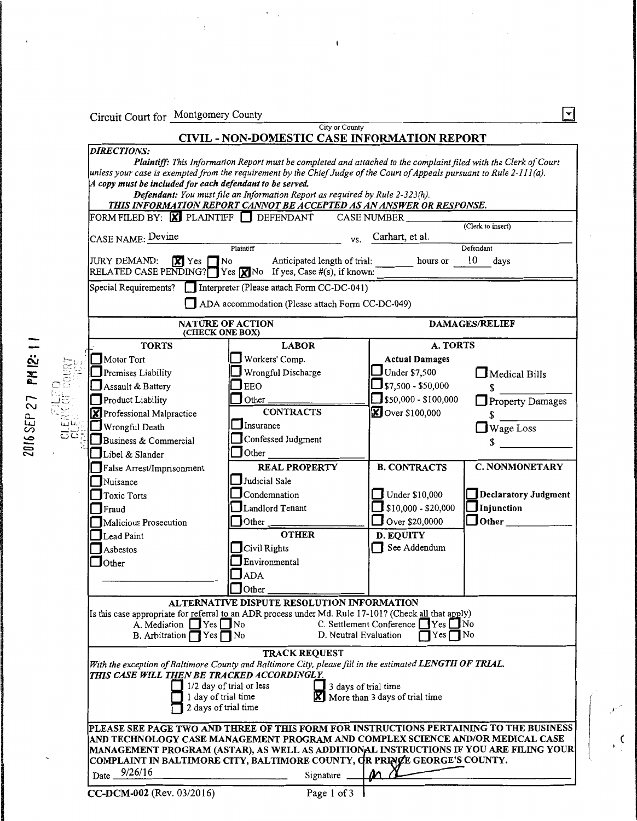Circuit Court for Montgomery County

#### City or County CIVIL - NON-DOMESTIC CASE INFORMATION REPORT

 $\bar{\rm t}$ 

| CASE NAME: Devine<br>JURY DEMAND:<br>$\sqrt{X}$ Yes $\int$<br>RELATED CASE PENDING? $\sqrt{Y}$ es $\sqrt{X}$ No If yes, Case #(s), if known:<br>Special Requirements? | Plaintiff<br>$\mathbf{R}$ No<br>Anticipated length of trial:                                             | Carhart, et al.<br>VS.                       |                                                   |
|-----------------------------------------------------------------------------------------------------------------------------------------------------------------------|----------------------------------------------------------------------------------------------------------|----------------------------------------------|---------------------------------------------------|
|                                                                                                                                                                       |                                                                                                          |                                              | Defendant                                         |
|                                                                                                                                                                       |                                                                                                          | hours or                                     | 10<br>days                                        |
|                                                                                                                                                                       | Interpreter (Please attach Form CC-DC-041)                                                               |                                              |                                                   |
|                                                                                                                                                                       | ADA accommodation (Please attach Form CC-DC-049)                                                         |                                              |                                                   |
|                                                                                                                                                                       | NATURE OF ACTION                                                                                         |                                              | <b>DAMAGES/RELIEF</b>                             |
| <b>TORTS</b>                                                                                                                                                          | (CHECK ONE BOX)                                                                                          |                                              |                                                   |
| Motor Tort                                                                                                                                                            | <b>LABOR</b><br>Workers' Comp.                                                                           | A. TORTS<br><b>Actual Damages</b>            |                                                   |
| $\Box$ Premises Liability                                                                                                                                             | Wrongful Discharge                                                                                       | Under \$7,500                                | $\blacksquare$ Medical Bills                      |
| Assault & Battery                                                                                                                                                     | <b>EEO</b>                                                                                               | $s_{7,500}$ - \$50,000                       | \$                                                |
| Product Liability                                                                                                                                                     | Other_                                                                                                   | $\sqrt{\$50,000 - $100,000}$                 | $\Box$ Property Damages                           |
| <b>X</b> Professional Malpractice                                                                                                                                     | <b>CONTRACTS</b>                                                                                         | <b>X</b> Over \$100,000                      | \$                                                |
| Wrongful Death                                                                                                                                                        | Insurance                                                                                                |                                              | Wage Loss                                         |
| Business & Commercial                                                                                                                                                 | Confessed Judgment                                                                                       |                                              |                                                   |
| Libel & Slander                                                                                                                                                       | Other                                                                                                    |                                              |                                                   |
| False Arrest/Imprisonment                                                                                                                                             | <b>REAL PROPERTY</b>                                                                                     | <b>B. CONTRACTS</b>                          | <b>C. NONMONETARY</b>                             |
| Nuisance                                                                                                                                                              | Judicial Sale                                                                                            |                                              |                                                   |
| Toxic Torts                                                                                                                                                           | Condemnation<br>Landlord Tenant                                                                          | Under \$10,000<br>$\Box$ \$10,000 - \$20,000 | Declaratory Judgment<br>$\blacksquare$ Injunction |
| Fraud<br>Malicious Prosecution                                                                                                                                        | Other                                                                                                    | Over $$20,0000$                              | $\Box$ Other $\Box$                               |
| Lead Paint                                                                                                                                                            | <b>OTHER</b>                                                                                             | <b>D. EQUITY</b>                             |                                                   |
| $\Box$ Asbestos                                                                                                                                                       | $\mathbf{\Gamma}$ Civil Rights                                                                           | See Addendum                                 |                                                   |
| $\Box$ Other                                                                                                                                                          | Environmental                                                                                            |                                              |                                                   |
|                                                                                                                                                                       | $J$ ADA                                                                                                  |                                              |                                                   |
|                                                                                                                                                                       | Other                                                                                                    |                                              |                                                   |
|                                                                                                                                                                       | ALTERNATIVE DISPUTE RESOLUTION INFORMATION                                                               |                                              |                                                   |
| A. Mediation $\Box$ Yes $\Box$ No                                                                                                                                     | Is this case appropriate for referral to an ADR process under Md. Rule 17-101? (Check all that apply)    | C. Settlement Conference TYes No             |                                                   |
| B. Arbitration $\bigcap$ Yes $\bigcap$ No                                                                                                                             |                                                                                                          | D. Neutral Evaluation<br>$Yes \prod No$      |                                                   |
|                                                                                                                                                                       | <b>TRACK REQUEST</b>                                                                                     |                                              |                                                   |
|                                                                                                                                                                       | With the exception of Baltimore County and Baltimore City, please fill in the estimated LENGTH OF TRIAL. |                                              |                                                   |
| THIS CASE WILL THEN BE TRACKED ACCORDINGLY.                                                                                                                           | 1/2 day of trial or less                                                                                 | 3 days of trial time                         |                                                   |
|                                                                                                                                                                       | day of trial time                                                                                        | More than 3 days of trial time               |                                                   |
|                                                                                                                                                                       | 2 days of trial time                                                                                     |                                              |                                                   |
|                                                                                                                                                                       | PLEASE SEE PAGE TWO AND THREE OF THIS FORM FOR INSTRUCTIONS PERTAINING TO THE BUSINESS                   |                                              |                                                   |
|                                                                                                                                                                       | AND TECHNOLOGY CASE MANAGEMENT PROGRAM AND COMPLEX SCIENCE AND/OR MEDICAL CASE                           |                                              |                                                   |
|                                                                                                                                                                       | MANAGEMENT PROGRAM (ASTAR), AS WELL AS ADDITIONAL INSTRUCTIONS IF YOU ARE FILING YOUR                    |                                              |                                                   |
|                                                                                                                                                                       |                                                                                                          |                                              |                                                   |
| 9/26/16<br>$Date$ $\_\$                                                                                                                                               | COMPLAINT IN BALTIMORE CITY, BALTIMORE COUNTY, OR PRINCE GEORGE'S COUNTY.<br>Signature                   |                                              |                                                   |

 $\epsilon$ 

 $\boxed{1}$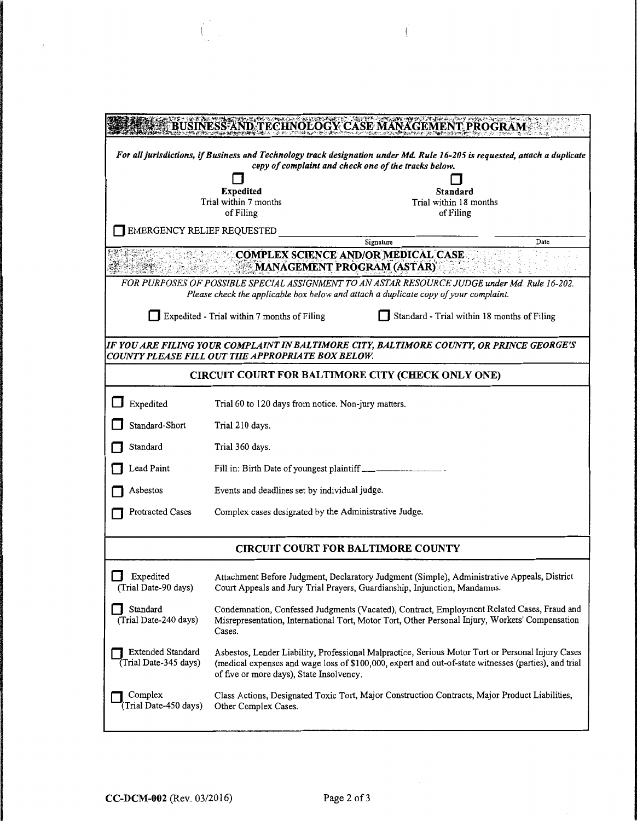| <b>NESS AND TECHNOLOGY CASE MANAGE</b>                                                                                     |                                                                                                                                                                                                                                                       |                                                                                                                                                                                       |      |  |
|----------------------------------------------------------------------------------------------------------------------------|-------------------------------------------------------------------------------------------------------------------------------------------------------------------------------------------------------------------------------------------------------|---------------------------------------------------------------------------------------------------------------------------------------------------------------------------------------|------|--|
| For all jurisdictions, if Business and Technology track designation under Md. Rule 16-205 is requested, attach a duplicate |                                                                                                                                                                                                                                                       |                                                                                                                                                                                       |      |  |
|                                                                                                                            |                                                                                                                                                                                                                                                       | copy of complaint and check one of the tracks below.                                                                                                                                  |      |  |
|                                                                                                                            |                                                                                                                                                                                                                                                       |                                                                                                                                                                                       |      |  |
|                                                                                                                            | <b>Expedited</b>                                                                                                                                                                                                                                      | Standard<br>Trial within 18 months                                                                                                                                                    |      |  |
|                                                                                                                            | Trial within 7 months<br>of Filing                                                                                                                                                                                                                    | of Filing                                                                                                                                                                             |      |  |
|                                                                                                                            |                                                                                                                                                                                                                                                       |                                                                                                                                                                                       |      |  |
| <b>EMERGENCY RELIEF REQUESTED</b>                                                                                          |                                                                                                                                                                                                                                                       |                                                                                                                                                                                       |      |  |
|                                                                                                                            |                                                                                                                                                                                                                                                       | Signature                                                                                                                                                                             | Date |  |
|                                                                                                                            | <b>COMPLEX SCIENCE AND/OR MEDICAL CASE</b><br><b>MANAGEMENT PROGRAM (ASTAR)</b>                                                                                                                                                                       |                                                                                                                                                                                       |      |  |
|                                                                                                                            |                                                                                                                                                                                                                                                       | FOR PURPOSES OF POSSIBLE SPECIAL ASSIGNMENT TO AN ASTAR RESOURCE JUDGE under Md. Rule 16-202.<br>Please check the applicable box below and attach a duplicate copy of your complaint. |      |  |
|                                                                                                                            | Standard - Trial within 18 months of Filing<br>Expedited - Trial within 7 months of Filing                                                                                                                                                            |                                                                                                                                                                                       |      |  |
|                                                                                                                            | COUNTY PLEASE FILL OUT THE APPROPRIATE BOX BELOW.                                                                                                                                                                                                     | IF YOU ARE FILING YOUR COMPLAINT IN BALTIMORE CITY, BALTIMORE COUNTY, OR PRINCE GEORGE'S                                                                                              |      |  |
|                                                                                                                            |                                                                                                                                                                                                                                                       | <b>CIRCUIT COURT FOR BALTIMORE CITY (CHECK ONLY ONE)</b>                                                                                                                              |      |  |
| Expedited                                                                                                                  | Trial 60 to 120 days from notice. Non-jury matters.                                                                                                                                                                                                   |                                                                                                                                                                                       |      |  |
| Standard-Short                                                                                                             | Trial 210 days.                                                                                                                                                                                                                                       |                                                                                                                                                                                       |      |  |
| Standard                                                                                                                   | Trial 360 days.                                                                                                                                                                                                                                       |                                                                                                                                                                                       |      |  |
| Lead Paint                                                                                                                 | Fill in: Birth Date of youngest plaintiff _____________                                                                                                                                                                                               |                                                                                                                                                                                       |      |  |
| Events and deadlines set by individual judge.<br>Asbestos                                                                  |                                                                                                                                                                                                                                                       |                                                                                                                                                                                       |      |  |
| Protracted Cases                                                                                                           | Complex cases designated by the Administrative Judge.                                                                                                                                                                                                 |                                                                                                                                                                                       |      |  |
| <b>CIRCUIT COURT FOR BALTIMORE COUNTY</b>                                                                                  |                                                                                                                                                                                                                                                       |                                                                                                                                                                                       |      |  |
|                                                                                                                            |                                                                                                                                                                                                                                                       |                                                                                                                                                                                       |      |  |
| <b>Expedited</b><br>(Trial Date-90 days)                                                                                   |                                                                                                                                                                                                                                                       | Attachment Before Judgment, Declaratory Judgment (Simple), Administrative Appeals, District<br>Court Appeals and Jury Trial Prayers, Guardianship, Injunction, Mandamus.              |      |  |
| Standard<br>(Trial Date-240 days)                                                                                          | Condemnation, Confessed Judgments (Vacated), Contract, Employment Related Cases, Fraud and<br>Misrepresentation, International Tort, Motor Tort, Other Personal Injury, Workers' Compensation<br>Cases.                                               |                                                                                                                                                                                       |      |  |
| Extended Standard<br>(Trial Date-345 days)                                                                                 | Asbestos, Lender Liability, Professional Malpractice, Serious Motor Tort or Personal Injury Cases<br>(medical expenses and wage loss of \$100,000, expert and out-of-state witnesses (parties), and trial<br>of five or more days), State Insolvency. |                                                                                                                                                                                       |      |  |
| Complex<br>(Trial Date-450 days)                                                                                           | Other Complex Cases.                                                                                                                                                                                                                                  | Class Actions, Designated Toxic Tort, Major Construction Contracts, Major Product Liabilities,                                                                                        |      |  |

 $\overline{(}$ 

 $\begin{pmatrix} 1 \\ 1 \end{pmatrix}$ 

 $\bar{t}$ 

 $\bar{\beta}$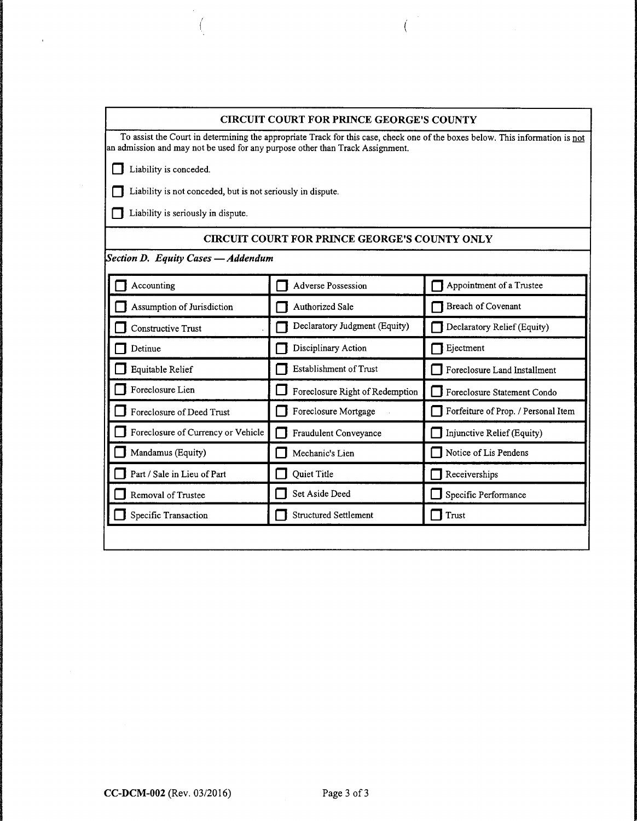| <b>CIRCUIT COURT FOR PRINCE GEORGE'S COUNTY</b>                                                                                                                                                                |                                                      |                                     |  |  |
|----------------------------------------------------------------------------------------------------------------------------------------------------------------------------------------------------------------|------------------------------------------------------|-------------------------------------|--|--|
| To assist the Court in determining the appropriate Track for this case, check one of the boxes below. This information is not<br>an admission and may not be used for any purpose other than Track Assignment. |                                                      |                                     |  |  |
| Liability is conceded.                                                                                                                                                                                         |                                                      |                                     |  |  |
| Liability is not conceded, but is not seriously in dispute.                                                                                                                                                    |                                                      |                                     |  |  |
| Liability is seriously in dispute.                                                                                                                                                                             |                                                      |                                     |  |  |
|                                                                                                                                                                                                                | <b>CIRCUIT COURT FOR PRINCE GEORGE'S COUNTY ONLY</b> |                                     |  |  |
| Section D. Equity Cases - Addendum                                                                                                                                                                             |                                                      |                                     |  |  |
| Accounting                                                                                                                                                                                                     | <b>Adverse Possession</b>                            | Appointment of a Trustee            |  |  |
| Assumption of Jurisdiction                                                                                                                                                                                     | Authorized Sale                                      | Breach of Covenant                  |  |  |
| Constructive Trust                                                                                                                                                                                             | Declaratory Judgment (Equity)                        | Declaratory Relief (Equity)         |  |  |
| Detinue                                                                                                                                                                                                        | Disciplinary Action                                  | Ejectment                           |  |  |
| Equitable Relief                                                                                                                                                                                               | <b>Establishment of Trust</b>                        | Foreclosure Land Installment        |  |  |
| Foreclosure Lien                                                                                                                                                                                               | Foreclosure Right of Redemption                      | Foreclosure Statement Condo         |  |  |
| Foreclosure of Deed Trust                                                                                                                                                                                      | Foreclosure Mortgage                                 | Forfeiture of Prop. / Personal Item |  |  |
| Foreclosure of Currency or Vehicle                                                                                                                                                                             | Fraudulent Conveyance                                | Injunctive Relief (Equity)          |  |  |
| Mandamus (Equity)                                                                                                                                                                                              | Mechanic's Lien                                      | Notice of Lis Pendens               |  |  |
| Part / Sale in Lieu of Part                                                                                                                                                                                    | <b>Quiet Title</b>                                   | Receiverships                       |  |  |
| Removal of Trustee                                                                                                                                                                                             | Set Aside Deed                                       | Specific Performance                |  |  |
| Specific Transaction                                                                                                                                                                                           | <b>Structured Settlement</b>                         | Trust                               |  |  |
|                                                                                                                                                                                                                |                                                      |                                     |  |  |

 $\int_0^{\frac{1}{2}}$ 

*!*  (

 $\mathcal{S}$ 

 $\mathcal{A}^{\mathcal{A}}$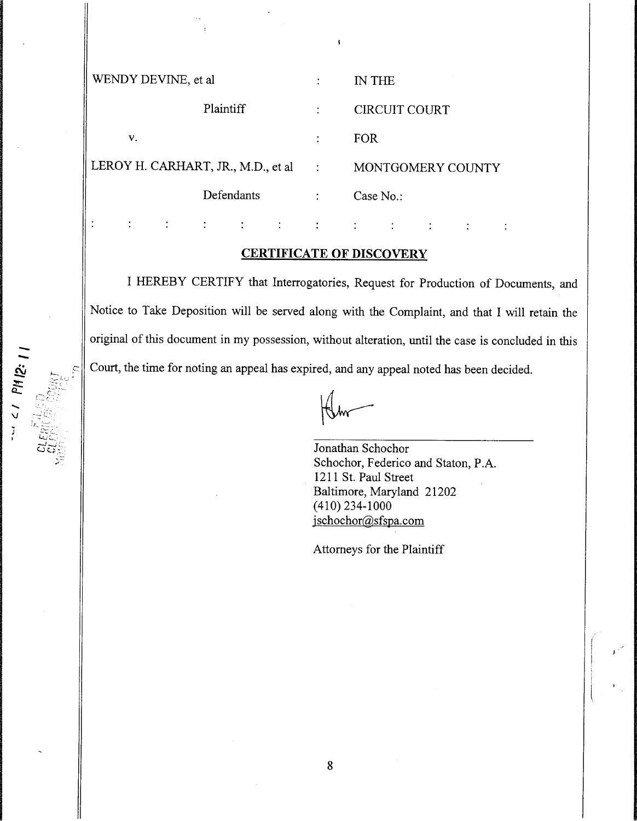| WENDY DEVINE, et al.                |   | IN THE               |
|-------------------------------------|---|----------------------|
| Plaintiff                           |   | <b>CIRCUIT COURT</b> |
| v.                                  | ٠ | FOR.                 |
| LEROY H. CARHART, JR., M.D., et al. |   | MONTGOMERY COUNTY    |
| Defendants                          |   | Case $No.$ :         |
|                                     |   |                      |

#### **CERTIFICATE OF DISCOVERY**

I HEREBY CERTIFY that Interrogatories, Request for Production of Documents, and Notice to Take Deposition will be served along with the Complaint, and that I will retain the original of this document in my possession, without alteration, until the case is concluded in this Court, the time for noting an appeal has expired, and any appeal noted has been decided.

.....  $\checkmark$ 

> Jonathan Schochor Schochor, Federico and Staton, P.A. 1211 St. Paul Street Baltimore, Maryland 21202 ( 410) 234-1000 jschochor@sfspa.com

 $\ddot{\cdot}$ 

 $\ddot{\cdot}$ 

Attorneys for the Plaintiff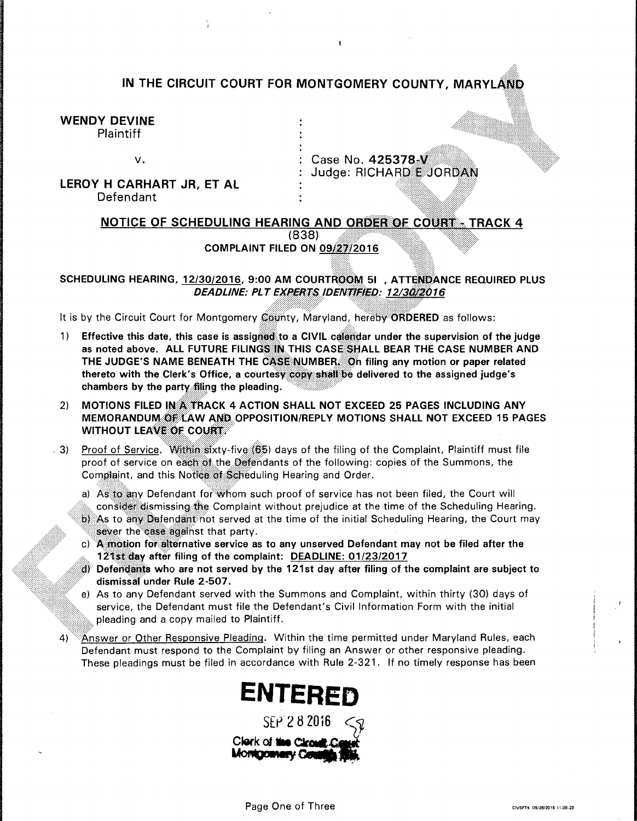## IN THE CIRCUIT COURT FOR MONTGOMERY COUNTY, MARYLAND

WENDY DEVINE Plaintiff

## LEROY H CARHART JR, ET AL Defendant

v. 25378.*V.* Judge: RICHARD<sup>es</sup>JORDAN

> <····=···=···=···=···=···=~:l'~:~'~:~:j:~.:~:~.:•,•\_,',=,·.,·\_::, .. -::::~=~~~~~:~~:~~~~~::· ··:::::::::::;:: ::::::::::::::::::;:::::::;:··

::11:••\

#### NOTICE OF SCHEDULING HEARING AND ORDER OF COURT - TRACK 4 (838) **COMPLAINT FILED ON 09/27/2016**

SCHEDULING HEARING, 12/30/2016, 9:00 AM COURTROOM 51, ATTENDANCE REQUIRED PLUS<br>DEADLINE: PLT EXPERTS IDENTIFIED: 12/30/2016

It is by the Circuit Court for Montgomery County, Maryland, hereby ORDERED as follows:

- 1) Effective this date, this case is assigned to a CIVIL calendar under the supervision of the judge as noted above. ALL FUTURE FILINGS IN THIS CASE SHALL BEAR THE CASE NUMBER AND THE JUDGE'S NAME BENEATH THE CASE NUMBER. On filing any motion or paper related thereto with the Clerk's Office, a courtesy copy shall be delivered to the assigned judge's chambers by the party filing the pleading .
- 2) MOTIONS FILED IN A TRACK 4 ACTION SHALL NOT EXCEED 25 PAGES INCLUDING ANY MEMORANDUM, OF:LAW AND OPPOSITION/REPLY MOTIONS SHALL NOT EXCEED 15 PAGES WITHOUT LEAVE OF COURT. ··;:::::::::::::::::::~::::::::.. .·:·:·:·:·:·:· :· ·.·.·.·
- . 3) Proof of Service. Within sixty-five (65) days of the filing of the Complaint, Plaintiff must file proof of service on each of the Defendants of the following: copies of the Summons, the Complaint, and this Notice of Scheduling Hearing and Order.
	- a) As to any Defendant for whom such proof of service has not been filed, the Court will consider dismissing the Complaint without prejudice at the time of the Scheduling Hearing.  $\frac{1}{2}$  As to any Defendant not served at the time of the initial Scheduling Hearing, the Court may  $\frac{1}{2}$ , sever the case against that party.
	- $c)$  A motion for alternative service as to any unserved Defendant may not be filed after the 121st day after filing of the complaint: DEADLINE: 01/23/2017
	- $\beta$ ) Defendants who are not served by the 121st day after filing of the complaint are subject to dismissafunder Rule 2-507.
	- e) As to any Defendant served with the Summons and Complaint, within thirty (30) days of service, the Defendant must file the Defendant's Civil Information Form with the initial pleading and a copy mailed to Plaintiff.
- 4) <sup>88</sup>Answer or Other Responsive Pleading. Within the time permitted under Maryland Rules, each Defendant must respond to the Complaint by filing an Answer or other responsive pleading. These pleadings must be filed in accordance with Rule 2-321. If no timely response has been

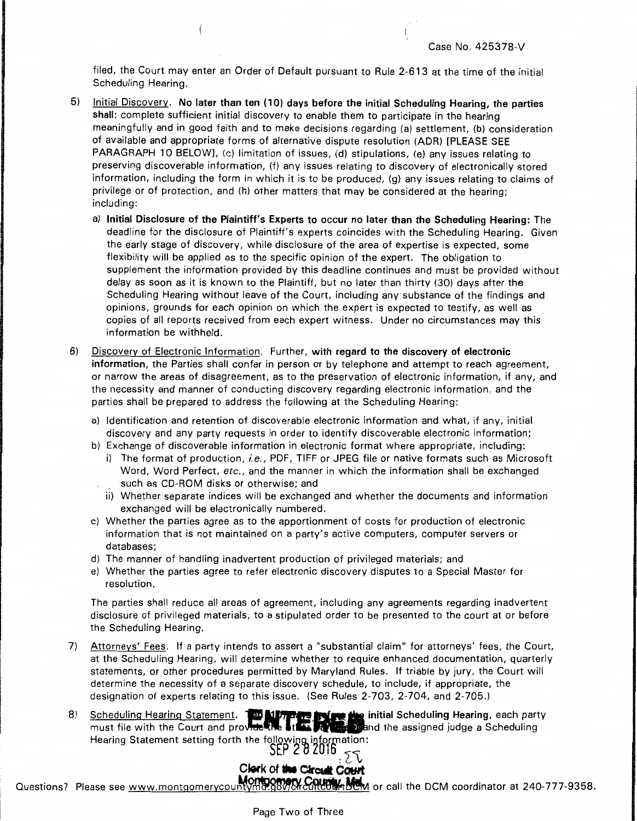filed, the Court may enter an Order of Default pursuant to Rule 2-613 at the time of the initial Scheduling Hearing.

- 5) Initial Discovery. No later than ten ( 10) days before the initial Scheduling Hearing, the parties shall: complete sufficient initial discovery to enable them to participate in the hearing meaningfully and in good faith and to make decisions regarding (a) settlement, (b) consideration of available and appropriate forms of alternative dispute resolution (ADR) [PLEASE SEE PARAGRAPH 10 BELOW], (c) limitation of issues, (d) stipulations, {e) any issues relating to preserving discoverable information, (f) any issues relating to discovery of electronically stored information, including the form in which it is to be produced, (g) any issues relating to claims of privilege or of protection, and (h) other matters that may be considered at the hearing; including:
	- a) Initial Disclosure of the Plaintiff's Experts to occur no later than the Scheduling Hearing: The deadline for the disclosure of Plaintiff's experts coincides with the Scheduling Hearing. Given the early stage of discovery, while disclosure of the area of expertise is expected, some flexibility will be applied as to the specific opinion of the expert. The obligation to supplement the information provided by this deadline continues and must be provided without delay as soon as it is known to the Plaintiff, but no later than thirty (30) days after the Scheduling Hearing without leave of the Court, including any substance of the findings and opinions, grounds for each opinion on which the expert is expected to testify, as well as copies of all reports received from each expert witness. Under no circumstances may this information be withheld.
- 6) Discovery of Electronic Information. Further, with regard to the discovery of electronic information, the Parties shall confer in person or by telephone and attempt to reach agreement, or narrow the areas of disagreement, as to the preservation of electronic information, if any, and the necessity and manner of conducting discovery regarding electronic information, and the parties shall be prepared to address the following at the Scheduling Hearing:
	- a) Identification and retention of discoverable electronic information and what, if any, initial discovery and any party requests in order to identify discoverable electronic information;
	- b) Exchange of discoverable information in electronic format where appropriate, including:
		- i) The format of production, *i.e.,* PDF, TIFF or JPEG file or native formats such as Microsoft Word, Word Perfect, *etc.,* and the manner in which the information shall be exchanged such as CD-ROM disks or otherwise; and
		- ii) Whether separate indices will be exchanged and whether the documents and information exchanged will be electronically numbered.
	- c) Whether the parties agree as to the apportionment of costs for production of electronic information that is not maintained on a party's active computers, computer servers or databases;
	- d) The manner of handling inadvertent production of privileged materials; and
	- e) Whether the parties agree to refer electronic discovery disputes to a Special Master for resolution.

The parties shall reduce all areas of agreement, including any agreements regarding inadvertent disclosure of privileged materials, to a stipulated order to be presented to the court at or before the Scheduling Hearing.

- 7) Attorneys' Fees. If a party intends to assert a "substantial claim" for attorneys' fees, the Court, at the Scheduling Hearing, will determine whether to require enhanced documentation, quarterly statements, or other procedures permitted by Maryland Rules. If triable by jury, the Court will determine the necessity of a separate discovery schedule, to include, if appropriate, the
- designation of experts relating to this issue. (See Rules 2-703, 2-704, and 2-705.) 8) Scheduling Hearing Statement. -~ •..• initial Scheduling Hearing, each party Scheduling Hearing Statement. The Murrers is the initial Scheduling Hearing, each part<br>must file with the Court and providence of the property and the assigned judge a Scheduling Hearing Statement setting forth the following information:

# Clerk of the Circuit Court

Questions? Please see www.montgomerycountymargety Collections? Please see www.montgomerycountymargety Collection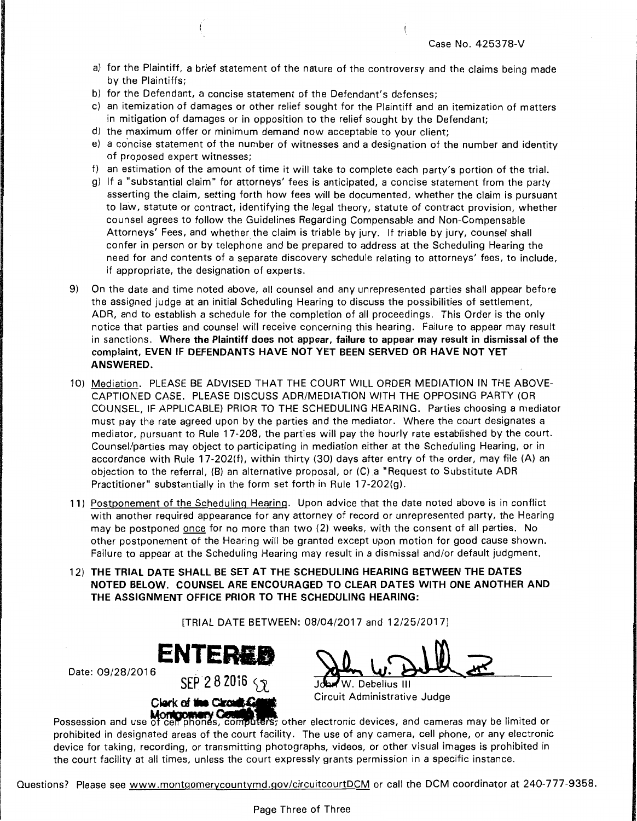- a) for the Plaintiff, a brief statement of the nature of the controversy and the claims being made by the Plaintiffs;
- b) for the Defendant, a concise statement of the Defendant's defenses;
- c) an itemization of damages or other relief sought for the Plaintiff and an itemization of matters in mitigation of damages or in opposition to the relief sought by the Defendant;
- d) the maximum offer or minimum demand now acceptable to your client;
- e) a concise statement of the number of witnesses and a designation of the number and identity of proposed expert witnesses;
- f) an estimation of the amount of time it will take to complete each party's portion of the trial.
- g) If a "substantial claim" for attorneys' fees is anticipated, a concise statement from the party asserting the claim, setting forth how fees will be documented, whether the claim is pursuant to law, statute or contract, identifying the legal theory, statute of contract provision, whether counsel agrees to follow the Guidelines Regarding Compensable and Non-Compensable Attorneys' Fees, and whether the claim is triable by jury. If triable by jury, counsel shall confer in person or by telephone and be prepared to address at the Scheduling Hearing the need for and contents of a separate discovery schedule relating to attorneys' fees, to include, if appropriate, the designation of experts.
- 9) On the date and time noted above, all counsel and any unrepresented parties shall appear before the assigned judge at an initial Scheduling Hearing to discuss the possibilities of settlement, ADR, and to establish a schedule for the completion of all proceedings. This Order is the only notice that parties and counsel will receive concerning this hearing. Failure to appear may result in sanctions. Where the Plaintiff does not appear, failure to appear may result in dismissal of the complaint, EVEN IF DEFENDANTS HAVE NOT YET BEEN SERVED OR HAVE NOT YET ANSWERED.
- 10) Mediation. PLEASE BE ADVISED THAT THE COURT WILL ORDER MEDIATION IN THE ABOVE-CAPTIONED CASE. PLEASE DISCUSS ADR/MEDIATION WITH THE OPPOSING PARTY (OR COUNSEL, IF APPLICABLE) PRIOR TO THE SCHEDULING HEARING. Parties choosing a mediator must pay the rate agreed upon by the parties and the mediator. Where the court designates a mediator, pursuant to Rule 17-208, the parties will pay the hourly rate established by the court. Counsel/parties may object to participating in mediation either at the Scheduling Hearing, or in accordance with Rule 17-202(f), within thirty (30) days after entry of the order, may file (A) an objection to the referral, (B) an alternative proposal, or (C) a "Request to Substitute ADR Practitioner" substantially in the form set forth in Rule 17-202(g).
- 11) Postponement of the Scheduling Hearing. Upon advice that the date noted above is in conflict with another required appearance for any attorney of record or unrepresented party, the Hearing may be postponed once for no more than two (2) weeks, with the consent of all parties. No other postponement of the Hearing will be granted except upon motion for good cause shown. Failure to appear at the Scheduling Hearing may result in a dismissal and/or default judgment.
- 12) THE TRIAL DATE SHALL BE SET AT THE SCHEDULING HEARING BETWEEN THE DATES NOTED BELOW. COUNSEL ARE ENCOURAGED TO CLEAR DATES WITH ONE ANOTHER AND THE ASSIGNMENT OFFICE PRIOR TO THE SCHEDULING HEARING:

[TRIAL DATE BETWEEN: 08/04/2017 and 12/25/2017]



Date: 09/28/2016



W. Debelius III

**Montgowery County 1998**<br>Possession and use of cell phones, computers, other electronic devices, and cameras may be limited or prohibited in designated areas of the court facility. The use of any camera, cell phone, or any electronic device for taking, recording, or transmitting photographs, videos, or other visual images is prohibited in the court facility at all times, unless the court expressly grants permission in a specific instance.

Questions? Please see www.montgomerycountymd.gov/circuitcourtDCM or call the DCM coordinator at 240-777-9358.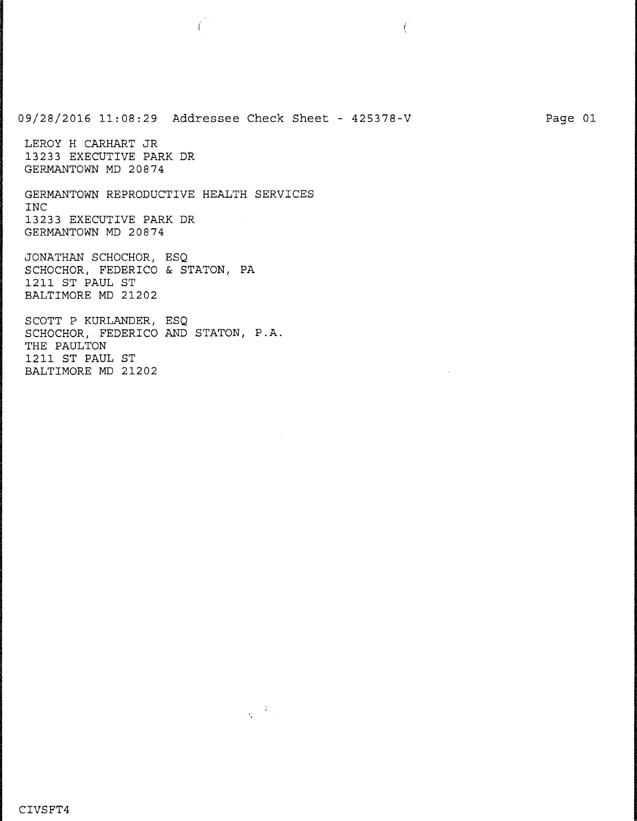09/28/2016 11:08:29 Addressee Check Sheet - 425378-V LEROY H CARHART JR 13233 EXECUTIVE PARK DR GERMANTOWN MD 20874 GERMANTOWN REPRODUCTIVE HEALTH SERVICES INC 13233 EXECUTIVE PARK DR GERMANTOWN MD 20874 JONATHAN SCHOCHOR, ESQ SCHOCHOR, FEDERICO & STATON, PA 1211 ST PAUL ST BALTIMORE MD 21202 SCOTT P KURLANDER, ESQ SCHOCHOR, FEDERICO AND STATON, P.A. THE PAULTON

 $\frac{1}{\sqrt{2}}\left(\frac{d}{2}\right)$ 

Page 01

 $\left($ 

1211 ST PAUL ST BALTIMORE MD 21202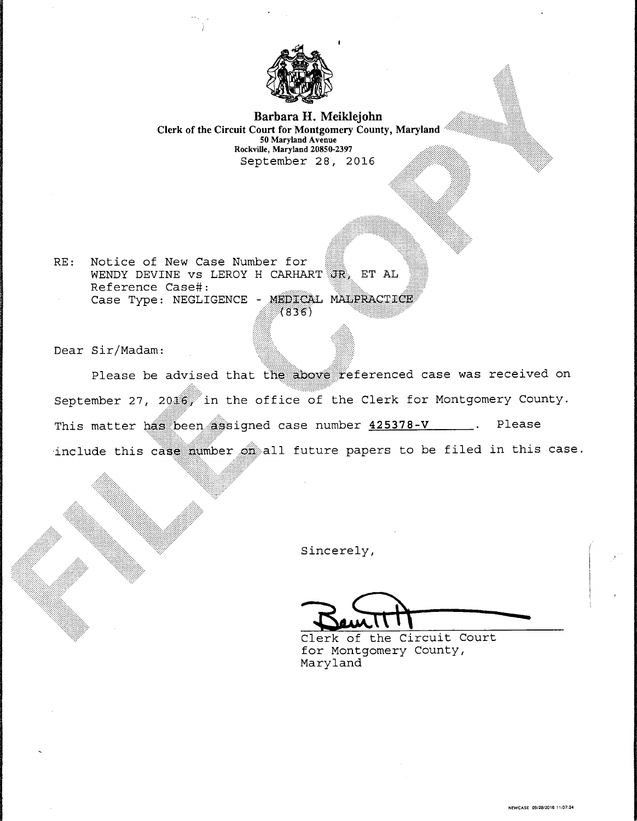

**Barbara H. Meiklejohn Clerk of the Circuit Court for Montgomery County, Maryland**  50 Maryland A venue Rockville, Maryland 20850-2397 September 28, 2016

RE: Notice of New Case Number for WENDY DEVINE VS LEROY H CARHART TR, ET AL Reference Case#: Case Type: NEGLIGENCE - MEDICAL ا<br>(836)

Dear Sir/Madam:

Please be advised that the above referenced case was received on September 27, 20  $\frac{16}{10}$  in the office of the Clerk for Montgomery County. This matter has been assigned case number  $425378-V$  . Please include this case mumber on all future papers to be filed in this case.

Sincerely,

 $=$ 

Clerk of the Circuit Court for Montgomery County, Maryland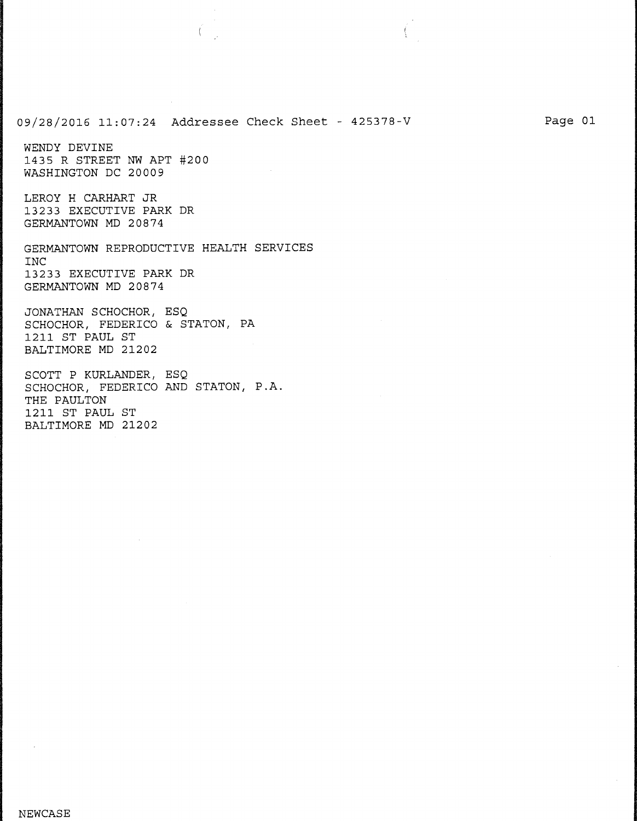09/28/2016 11:07:24 Addressee Check Sheet - 425378-V

WENDY DEVINE 1435 R STREET NW APT #200 WASHINGTON DC 20009

LEROY H CARHART JR 13233 EXECUTIVE PARK DR GERMANTOWN MD 20874

GERMANTOWN REPRODUCTIVE HEALTH SERVICES INC 13233 EXECUTIVE PARK DR GERMANTOWN MD 20874

JONATHAN SCHOCHOR, ESQ SCHOCHOR, FEDERICO & STATON, PA 1211 ST PAUL ST BALTIMORE MD 21202

SCOTT P KURLANDER, ESQ SCHOCHOR, FEDERICO AND STATON, P.A. THE PAULTON 1211 ST PAUL ST BALTIMORE MD 21202

Page 01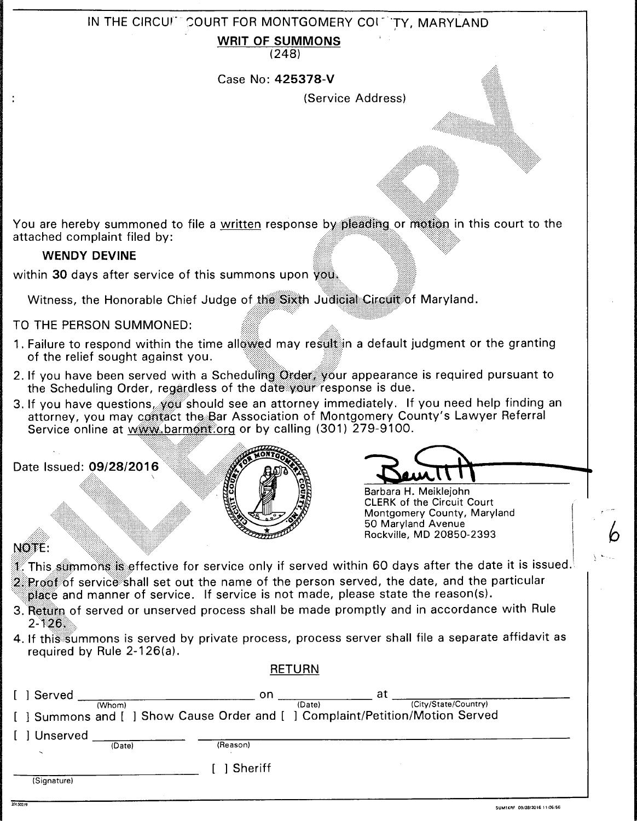## IN THE CIRCUI- COURT FOR MONTGOMERY COIL TY, MARYLAND

**WRIT OF SUMMONS** 

(248)

Case No: **425378-V** 

(Service Address)

You are hereby summoned to file a written response by pleading or motion in this court to the attached complaint filed by:

### **WENDY DEVINE**

Date Issued: 09/28/2016

within **30** days after service of this summons upon you.

Witness, the Honorable Chief Judge of the Sixth Judicial Circuit of Maryland.

### TO THE PERSON SUMMONED:

- 1. Failure to respond within the time allowed may result in a default judgment or the granting of the relief sought against you.
- 2. If you have been served with a Scheduling Order: your appearance is required pursuant to the Scheduling Order, regardless of the date your response is due.
- 3. If you have questions, you should see an attorney immediately. If you need help finding an attorney, you may contact the Bar Association of Montgomery County's Lawyer Referral Service online at www.barmont.org or by calling (301) 279-9100.



Barbara H. Meiklejohn CLERK of the Circuit Court Montgomery County, Maryland 50 Maryland Avenue Rockville, MD 20850-2393

## NOTE:

 $\sqrt{ }$ 

- $\mathbb I$  . This summons is effective for service only if served within 60 days after the date it is issued.  $2\degree$  Proof of service shall set out the name of the person served, the date, and the particular  $\hat{\mathbf{p}}$  and manner of service. If service is not made, please state the reason(s).
- 3. Return of served or unserved process shall be made promptly and in accordance with Rule  $2 - 126.$
- 4. If this summons is served by private process, process server shall file a separate affidavit as required by Rule 2-126(a).

|             |        |           | <b>RETURN</b>                                                               |                      |
|-------------|--------|-----------|-----------------------------------------------------------------------------|----------------------|
| ] Served    | (Whom) | on.       | at<br>(Date)                                                                | (City/State/Country) |
|             |        |           | ] Summons and [ ] Show Cause Order and [ ] Complaint/Petition/Motion Served |                      |
| ] Unserved  | (Date) | (Reason)  |                                                                             |                      |
|             |        | 1 Sheriff |                                                                             |                      |
| (Signature) |        |           |                                                                             |                      |

 $\frac{1}{2}$ 

! •. --